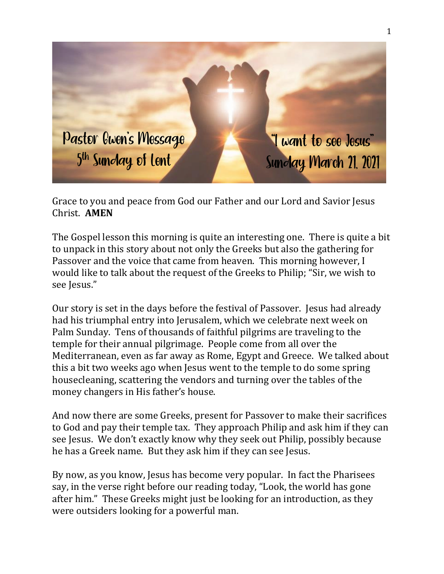

Grace to you and peace from God our Father and our Lord and Savior Jesus Christ. **AMEN**

The Gospel lesson this morning is quite an interesting one. There is quite a bit to unpack in this story about not only the Greeks but also the gathering for Passover and the voice that came from heaven. This morning however, I would like to talk about the request of the Greeks to Philip; "Sir, we wish to see Jesus."

Our story is set in the days before the festival of Passover. Jesus had already had his triumphal entry into Jerusalem, which we celebrate next week on Palm Sunday. Tens of thousands of faithful pilgrims are traveling to the temple for their annual pilgrimage. People come from all over the Mediterranean, even as far away as Rome, Egypt and Greece. We talked about this a bit two weeks ago when Jesus went to the temple to do some spring housecleaning, scattering the vendors and turning over the tables of the money changers in His father's house.

And now there are some Greeks, present for Passover to make their sacrifices to God and pay their temple tax. They approach Philip and ask him if they can see Jesus. We don't exactly know why they seek out Philip, possibly because he has a Greek name. But they ask him if they can see Jesus.

By now, as you know, Jesus has become very popular. In fact the Pharisees say, in the verse right before our reading today, "Look, the world has gone after him." These Greeks might just be looking for an introduction, as they were outsiders looking for a powerful man.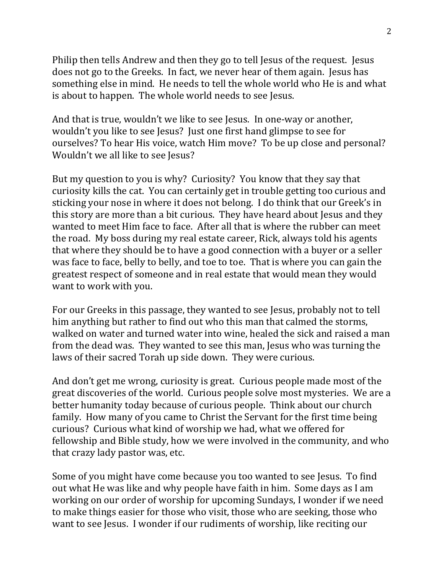Philip then tells Andrew and then they go to tell Jesus of the request. Jesus does not go to the Greeks. In fact, we never hear of them again. Jesus has something else in mind. He needs to tell the whole world who He is and what is about to happen. The whole world needs to see Jesus.

And that is true, wouldn't we like to see Jesus. In one-way or another, wouldn't you like to see Jesus? Just one first hand glimpse to see for ourselves? To hear His voice, watch Him move? To be up close and personal? Wouldn't we all like to see Jesus?

But my question to you is why? Curiosity? You know that they say that curiosity kills the cat. You can certainly get in trouble getting too curious and sticking your nose in where it does not belong. I do think that our Greek's in this story are more than a bit curious. They have heard about Jesus and they wanted to meet Him face to face. After all that is where the rubber can meet the road. My boss during my real estate career, Rick, always told his agents that where they should be to have a good connection with a buyer or a seller was face to face, belly to belly, and toe to toe. That is where you can gain the greatest respect of someone and in real estate that would mean they would want to work with you.

For our Greeks in this passage, they wanted to see Jesus, probably not to tell him anything but rather to find out who this man that calmed the storms, walked on water and turned water into wine, healed the sick and raised a man from the dead was. They wanted to see this man, Jesus who was turning the laws of their sacred Torah up side down. They were curious.

And don't get me wrong, curiosity is great. Curious people made most of the great discoveries of the world. Curious people solve most mysteries. We are a better humanity today because of curious people. Think about our church family. How many of you came to Christ the Servant for the first time being curious? Curious what kind of worship we had, what we offered for fellowship and Bible study, how we were involved in the community, and who that crazy lady pastor was, etc.

Some of you might have come because you too wanted to see Jesus. To find out what He was like and why people have faith in him. Some days as I am working on our order of worship for upcoming Sundays, I wonder if we need to make things easier for those who visit, those who are seeking, those who want to see Jesus. I wonder if our rudiments of worship, like reciting our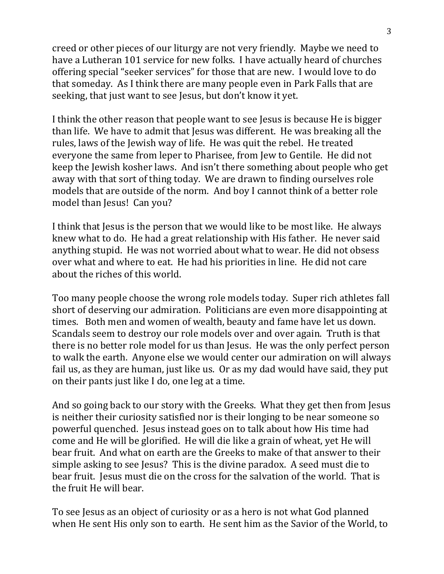creed or other pieces of our liturgy are not very friendly. Maybe we need to have a Lutheran 101 service for new folks. I have actually heard of churches offering special "seeker services" for those that are new. I would love to do that someday. As I think there are many people even in Park Falls that are seeking, that just want to see Jesus, but don't know it yet.

I think the other reason that people want to see Jesus is because He is bigger than life. We have to admit that Jesus was different. He was breaking all the rules, laws of the Jewish way of life. He was quit the rebel. He treated everyone the same from leper to Pharisee, from Jew to Gentile. He did not keep the Jewish kosher laws. And isn't there something about people who get away with that sort of thing today. We are drawn to finding ourselves role models that are outside of the norm. And boy I cannot think of a better role model than Jesus! Can you?

I think that Jesus is the person that we would like to be most like. He always knew what to do. He had a great relationship with His father. He never said anything stupid. He was not worried about what to wear. He did not obsess over what and where to eat. He had his priorities in line. He did not care about the riches of this world.

Too many people choose the wrong role models today. Super rich athletes fall short of deserving our admiration. Politicians are even more disappointing at times. Both men and women of wealth, beauty and fame have let us down. Scandals seem to destroy our role models over and over again. Truth is that there is no better role model for us than Jesus. He was the only perfect person to walk the earth. Anyone else we would center our admiration on will always fail us, as they are human, just like us. Or as my dad would have said, they put on their pants just like I do, one leg at a time.

And so going back to our story with the Greeks. What they get then from Jesus is neither their curiosity satisfied nor is their longing to be near someone so powerful quenched. Jesus instead goes on to talk about how His time had come and He will be glorified. He will die like a grain of wheat, yet He will bear fruit. And what on earth are the Greeks to make of that answer to their simple asking to see Jesus? This is the divine paradox. A seed must die to bear fruit. Jesus must die on the cross for the salvation of the world. That is the fruit He will bear.

To see Jesus as an object of curiosity or as a hero is not what God planned when He sent His only son to earth. He sent him as the Savior of the World, to